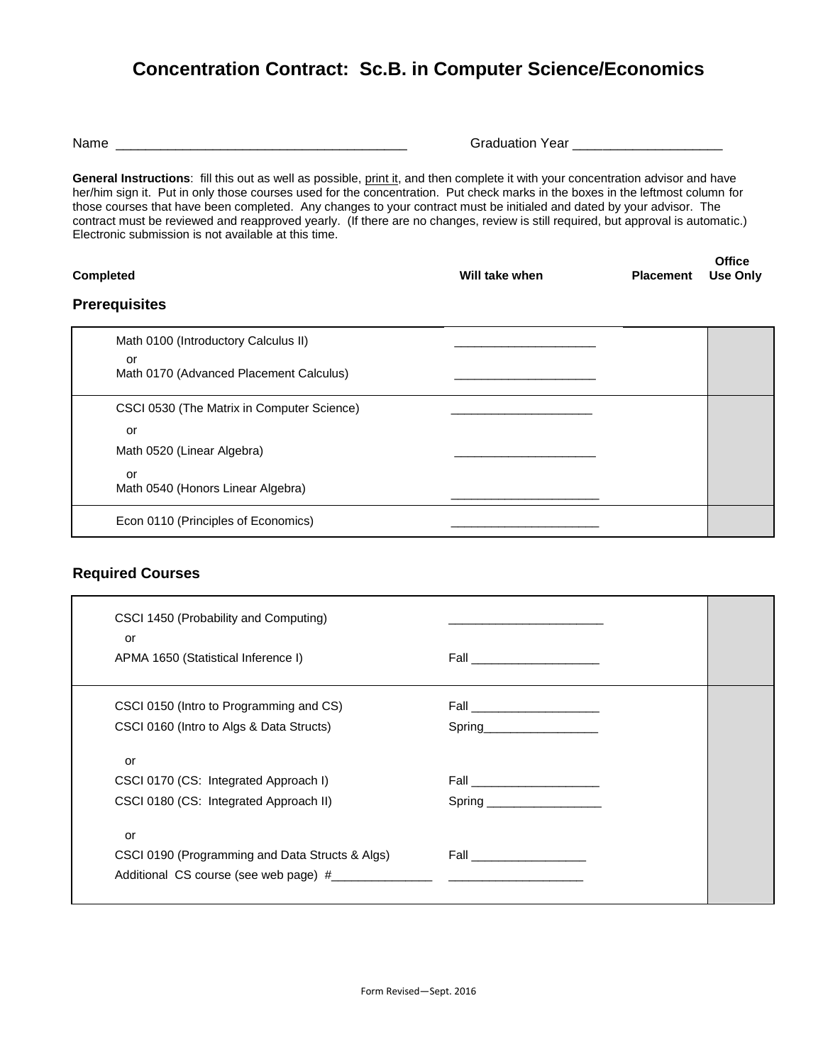## **Concentration Contract: Sc.B. in Computer Science/Economics**

| Name |  |
|------|--|
|------|--|

| Name | Voor<br>.<br>$\sim$ 110 tions<br>Uа<br>uualiui |
|------|------------------------------------------------|
|------|------------------------------------------------|

General Instructions: fill this out as well as possible, print it, and then complete it with your concentration advisor and have her/him sign it. Put in only those courses used for the concentration. Put check marks in the boxes in the leftmost column for those courses that have been completed. Any changes to your contract must be initialed and dated by your advisor. The contract must be reviewed and reapproved yearly. (If there are no changes, review is still required, but approval is automatic.) Electronic submission is not available at this time.

| <b>Completed</b> | Will take when | <b>Placement</b> Use Only | <b>Office</b> |
|------------------|----------------|---------------------------|---------------|
| Duana milalia a  |                |                           |               |

## **Prerequisites**

| Math 0100 (Introductory Calculus II)          |  |
|-----------------------------------------------|--|
| or<br>Math 0170 (Advanced Placement Calculus) |  |
| CSCI 0530 (The Matrix in Computer Science)    |  |
| or                                            |  |
| Math 0520 (Linear Algebra)                    |  |
| or<br>Math 0540 (Honors Linear Algebra)       |  |
| Econ 0110 (Principles of Economics)           |  |

## **Required Courses**

| CSCI 1450 (Probability and Computing)<br>or     |                               |
|-------------------------------------------------|-------------------------------|
| APMA 1650 (Statistical Inference I)             | Fall _______________________  |
| CSCI 0150 (Intro to Programming and CS)         | Fall _____________________    |
| CSCI 0160 (Intro to Algs & Data Structs)        | Spring_______________________ |
| or                                              |                               |
| CSCI 0170 (CS: Integrated Approach I)           |                               |
| CSCI 0180 (CS: Integrated Approach II)          | Spring _____________________  |
| or                                              |                               |
| CSCI 0190 (Programming and Data Structs & Algs) |                               |
|                                                 |                               |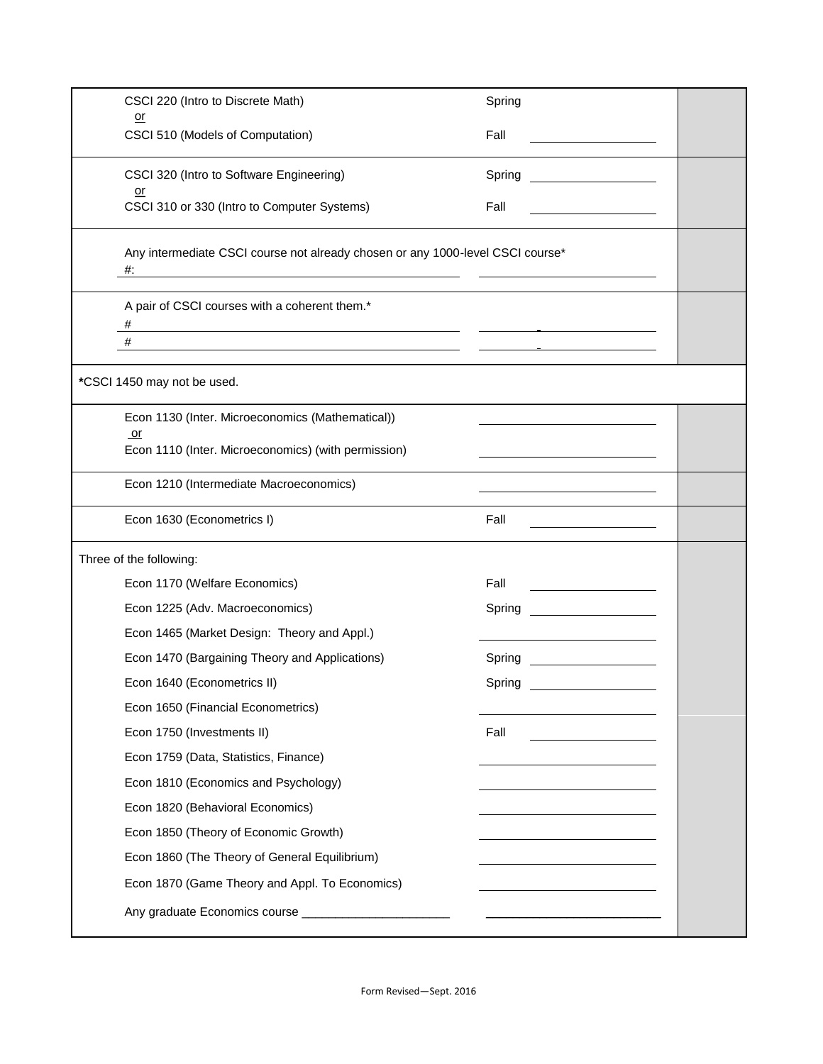| CSCI 220 (Intro to Discrete Math)                                                                                                                                                                             | Spring |
|---------------------------------------------------------------------------------------------------------------------------------------------------------------------------------------------------------------|--------|
| <u>or</u><br>CSCI 510 (Models of Computation)                                                                                                                                                                 | Fall   |
| CSCI 320 (Intro to Software Engineering)                                                                                                                                                                      | Spring |
| <u>or</u><br>CSCI 310 or 330 (Intro to Computer Systems)                                                                                                                                                      | Fall   |
| Any intermediate CSCI course not already chosen or any 1000-level CSCI course*<br>#:<br><u> 1989 - Johann Stoff, deutscher Stoff, der Stoff, der Stoff, der Stoff, der Stoff, der Stoff, der Stoff, der S</u> |        |
| A pair of CSCI courses with a coherent them.*<br>#                                                                                                                                                            |        |
| #<br><u> 1989 - Jan Barnett, fransk politiker (d. 1989)</u>                                                                                                                                                   |        |
| *CSCI 1450 may not be used.                                                                                                                                                                                   |        |
| Econ 1130 (Inter. Microeconomics (Mathematical))<br>or<br>Econ 1110 (Inter. Microeconomics) (with permission)                                                                                                 |        |
| Econ 1210 (Intermediate Macroeconomics)                                                                                                                                                                       |        |
| Econ 1630 (Econometrics I)                                                                                                                                                                                    | Fall   |
| Three of the following:                                                                                                                                                                                       |        |
| Econ 1170 (Welfare Economics)                                                                                                                                                                                 | Fall   |
| Econ 1225 (Adv. Macroeconomics)                                                                                                                                                                               | Spring |
| Econ 1465 (Market Design: Theory and Appl.)                                                                                                                                                                   |        |
| Econ 1470 (Bargaining Theory and Applications)                                                                                                                                                                | Spring |
| Econ 1640 (Econometrics II)                                                                                                                                                                                   | Spring |
| Econ 1650 (Financial Econometrics)                                                                                                                                                                            |        |
| Econ 1750 (Investments II)                                                                                                                                                                                    | Fall   |
| Econ 1759 (Data, Statistics, Finance)                                                                                                                                                                         |        |
| Econ 1810 (Economics and Psychology)                                                                                                                                                                          |        |
| Econ 1820 (Behavioral Economics)                                                                                                                                                                              |        |
| Econ 1850 (Theory of Economic Growth)                                                                                                                                                                         |        |
| Econ 1860 (The Theory of General Equilibrium)                                                                                                                                                                 |        |
| Econ 1870 (Game Theory and Appl. To Economics)                                                                                                                                                                |        |
|                                                                                                                                                                                                               |        |